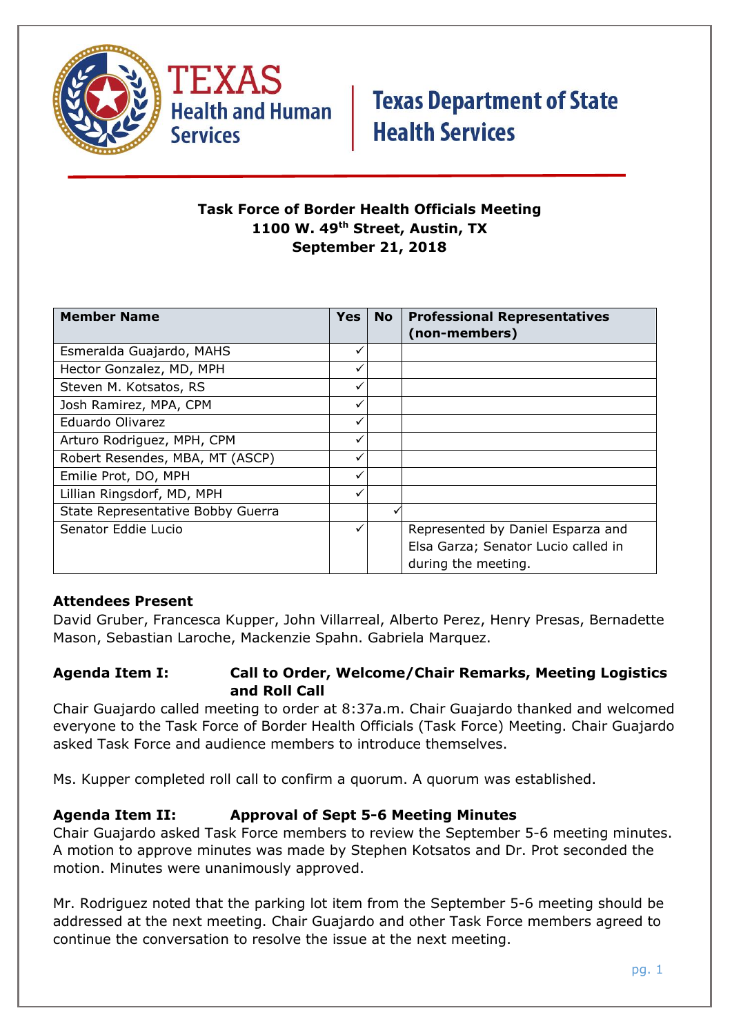



### **Task Force of Border Health Officials Meeting 1100 W. 49th Street, Austin, TX September 21, 2018**

| <b>Member Name</b>                | <b>Yes</b> | <b>No</b> | <b>Professional Representatives</b> |
|-----------------------------------|------------|-----------|-------------------------------------|
|                                   |            |           | (non-members)                       |
| Esmeralda Guajardo, MAHS          | ✓          |           |                                     |
| Hector Gonzalez, MD, MPH          |            |           |                                     |
| Steven M. Kotsatos, RS            |            |           |                                     |
| Josh Ramirez, MPA, CPM            |            |           |                                     |
| Eduardo Olivarez                  |            |           |                                     |
| Arturo Rodriguez, MPH, CPM        |            |           |                                     |
| Robert Resendes, MBA, MT (ASCP)   |            |           |                                     |
| Emilie Prot, DO, MPH              | ✓          |           |                                     |
| Lillian Ringsdorf, MD, MPH        |            |           |                                     |
| State Representative Bobby Guerra |            |           |                                     |
| Senator Eddie Lucio               |            |           | Represented by Daniel Esparza and   |
|                                   |            |           | Elsa Garza; Senator Lucio called in |
|                                   |            |           | during the meeting.                 |

### **Attendees Present**

David Gruber, Francesca Kupper, John Villarreal, Alberto Perez, Henry Presas, Bernadette Mason, Sebastian Laroche, Mackenzie Spahn. Gabriela Marquez.

### **Agenda Item I: Call to Order, Welcome/Chair Remarks, Meeting Logistics and Roll Call**

Chair Guajardo called meeting to order at 8:37a.m. Chair Guajardo thanked and welcomed everyone to the Task Force of Border Health Officials (Task Force) Meeting. Chair Guajardo asked Task Force and audience members to introduce themselves.

Ms. Kupper completed roll call to confirm a quorum. A quorum was established.

### **Agenda Item II: Approval of Sept 5-6 Meeting Minutes**

Chair Guajardo asked Task Force members to review the September 5-6 meeting minutes. A motion to approve minutes was made by Stephen Kotsatos and Dr. Prot seconded the motion. Minutes were unanimously approved.

Mr. Rodriguez noted that the parking lot item from the September 5-6 meeting should be addressed at the next meeting. Chair Guajardo and other Task Force members agreed to continue the conversation to resolve the issue at the next meeting.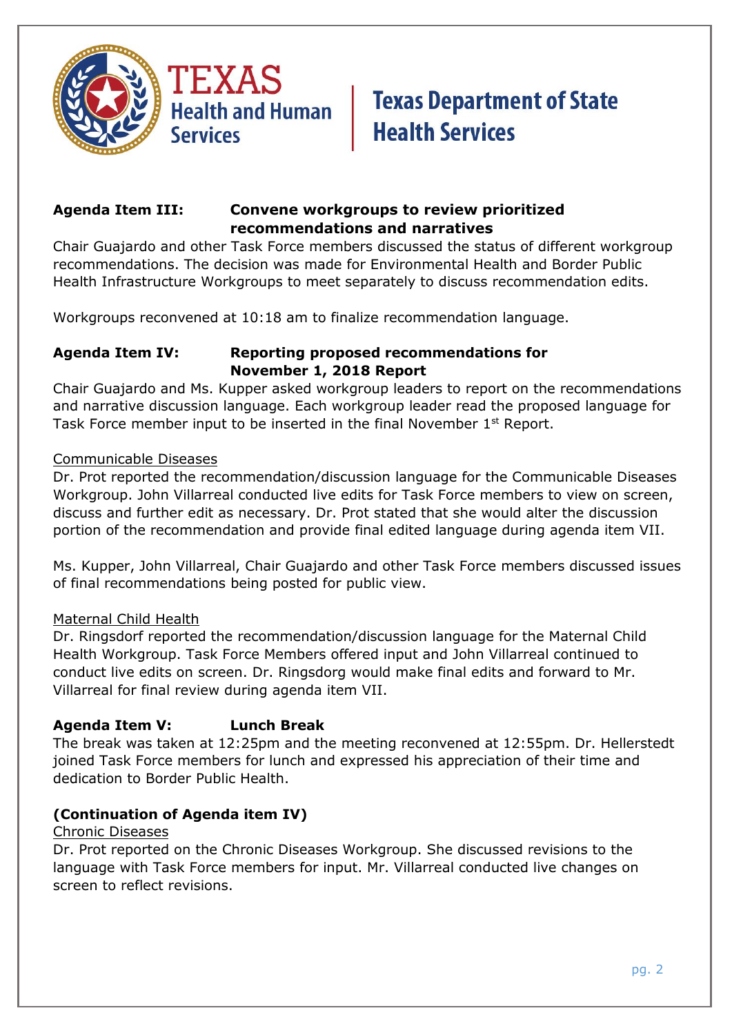



### **Agenda Item III: Convene workgroups to review prioritized recommendations and narratives**

Chair Guajardo and other Task Force members discussed the status of different workgroup recommendations. The decision was made for Environmental Health and Border Public Health Infrastructure Workgroups to meet separately to discuss recommendation edits.

Workgroups reconvened at 10:18 am to finalize recommendation language.

### **Agenda Item IV: Reporting proposed recommendations for November 1, 2018 Report**

Chair Guajardo and Ms. Kupper asked workgroup leaders to report on the recommendations and narrative discussion language. Each workgroup leader read the proposed language for Task Force member input to be inserted in the final November 1st Report.

#### Communicable Diseases

Dr. Prot reported the recommendation/discussion language for the Communicable Diseases Workgroup. John Villarreal conducted live edits for Task Force members to view on screen, discuss and further edit as necessary. Dr. Prot stated that she would alter the discussion portion of the recommendation and provide final edited language during agenda item VII.

Ms. Kupper, John Villarreal, Chair Guajardo and other Task Force members discussed issues of final recommendations being posted for public view.

### Maternal Child Health

Dr. Ringsdorf reported the recommendation/discussion language for the Maternal Child Health Workgroup. Task Force Members offered input and John Villarreal continued to conduct live edits on screen. Dr. Ringsdorg would make final edits and forward to Mr. Villarreal for final review during agenda item VII.

### **Agenda Item V: Lunch Break**

The break was taken at 12:25pm and the meeting reconvened at 12:55pm. Dr. Hellerstedt joined Task Force members for lunch and expressed his appreciation of their time and dedication to Border Public Health.

### **(Continuation of Agenda item IV)**

#### Chronic Diseases

Dr. Prot reported on the Chronic Diseases Workgroup. She discussed revisions to the language with Task Force members for input. Mr. Villarreal conducted live changes on screen to reflect revisions.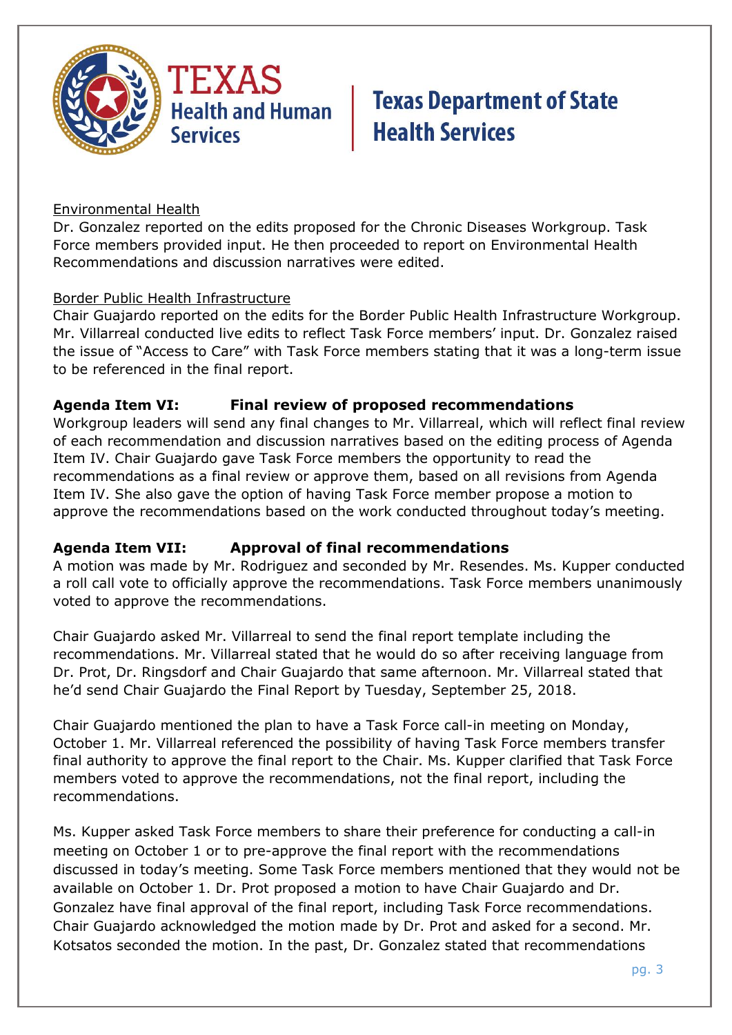

### Environmental Health

Dr. Gonzalez reported on the edits proposed for the Chronic Diseases Workgroup. Task Force members provided input. He then proceeded to report on Environmental Health Recommendations and discussion narratives were edited.

#### Border Public Health Infrastructure

Chair Guajardo reported on the edits for the Border Public Health Infrastructure Workgroup. Mr. Villarreal conducted live edits to reflect Task Force members' input. Dr. Gonzalez raised the issue of "Access to Care" with Task Force members stating that it was a long-term issue to be referenced in the final report.

### **Agenda Item VI: Final review of proposed recommendations**

Workgroup leaders will send any final changes to Mr. Villarreal, which will reflect final review of each recommendation and discussion narratives based on the editing process of Agenda Item IV. Chair Guajardo gave Task Force members the opportunity to read the recommendations as a final review or approve them, based on all revisions from Agenda Item IV. She also gave the option of having Task Force member propose a motion to approve the recommendations based on the work conducted throughout today's meeting.

### **Agenda Item VII: Approval of final recommendations**

A motion was made by Mr. Rodriguez and seconded by Mr. Resendes. Ms. Kupper conducted a roll call vote to officially approve the recommendations. Task Force members unanimously voted to approve the recommendations.

Chair Guajardo asked Mr. Villarreal to send the final report template including the recommendations. Mr. Villarreal stated that he would do so after receiving language from Dr. Prot, Dr. Ringsdorf and Chair Guajardo that same afternoon. Mr. Villarreal stated that he'd send Chair Guajardo the Final Report by Tuesday, September 25, 2018.

Chair Guajardo mentioned the plan to have a Task Force call-in meeting on Monday, October 1. Mr. Villarreal referenced the possibility of having Task Force members transfer final authority to approve the final report to the Chair. Ms. Kupper clarified that Task Force members voted to approve the recommendations, not the final report, including the recommendations.

Ms. Kupper asked Task Force members to share their preference for conducting a call-in meeting on October 1 or to pre-approve the final report with the recommendations discussed in today's meeting. Some Task Force members mentioned that they would not be available on October 1. Dr. Prot proposed a motion to have Chair Guajardo and Dr. Gonzalez have final approval of the final report, including Task Force recommendations. Chair Guajardo acknowledged the motion made by Dr. Prot and asked for a second. Mr. Kotsatos seconded the motion. In the past, Dr. Gonzalez stated that recommendations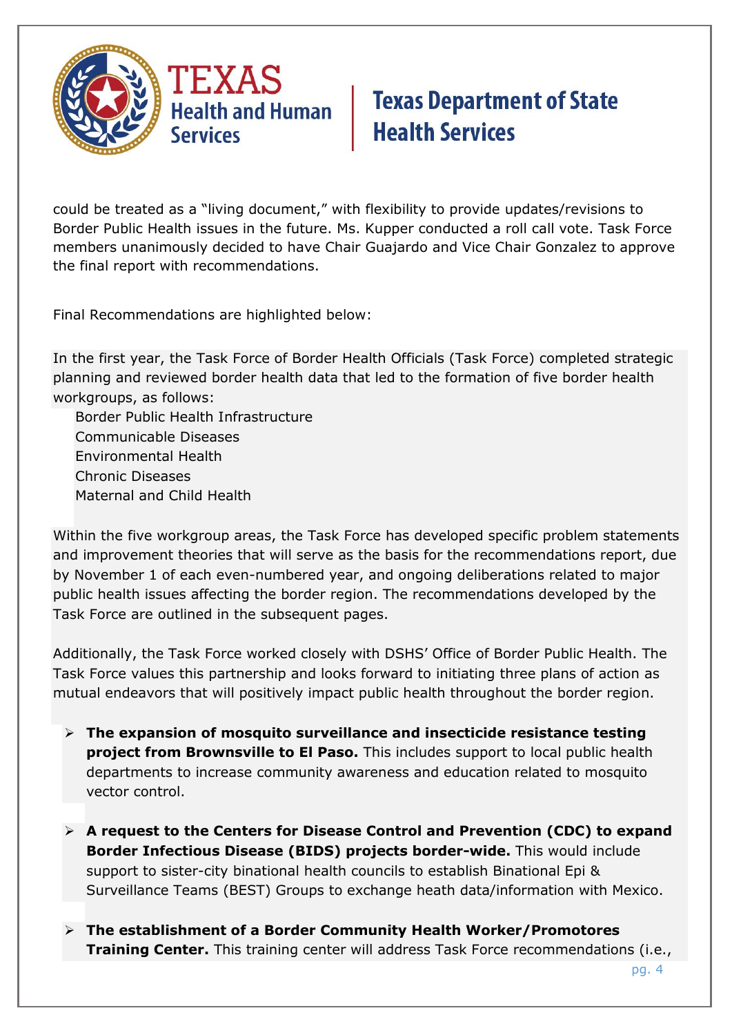

could be treated as a "living document," with flexibility to provide updates/revisions to Border Public Health issues in the future. Ms. Kupper conducted a roll call vote. Task Force members unanimously decided to have Chair Guajardo and Vice Chair Gonzalez to approve the final report with recommendations.

Final Recommendations are highlighted below:

In the first year, the Task Force of Border Health Officials (Task Force) completed strategic planning and reviewed border health data that led to the formation of five border health workgroups, as follows:

Border Public Health Infrastructure Communicable Diseases Environmental Health Chronic Diseases Maternal and Child Health

Within the five workgroup areas, the Task Force has developed specific problem statements and improvement theories that will serve as the basis for the recommendations report, due by November 1 of each even-numbered year, and ongoing deliberations related to major public health issues affecting the border region. The recommendations developed by the Task Force are outlined in the subsequent pages.

Additionally, the Task Force worked closely with DSHS' Office of Border Public Health. The Task Force values this partnership and looks forward to initiating three plans of action as mutual endeavors that will positively impact public health throughout the border region.

- **The expansion of mosquito surveillance and insecticide resistance testing project from Brownsville to El Paso.** This includes support to local public health departments to increase community awareness and education related to mosquito vector control.
- **A request to the Centers for Disease Control and Prevention (CDC) to expand Border Infectious Disease (BIDS) projects border-wide.** This would include support to sister-city binational health councils to establish Binational Epi & Surveillance Teams (BEST) Groups to exchange heath data/information with Mexico.
- **The establishment of a Border Community Health Worker/Promotores Training Center.** This training center will address Task Force recommendations (i.e.,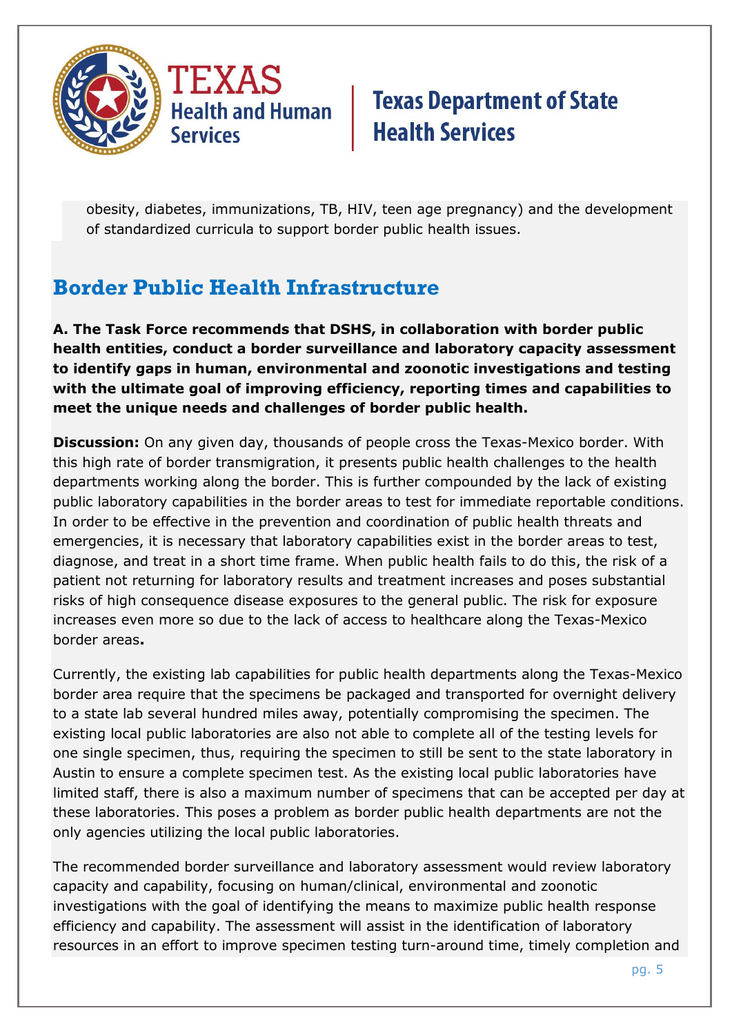

obesity, diabetes, immunizations, TB, HIV, teen age pregnancy) and the development of standardized curricula to support border public health issues.

## **Border Public Health Infrastructure**

**A. The Task Force recommends that DSHS, in collaboration with border public health entities, conduct a border surveillance and laboratory capacity assessment to identify gaps in human, environmental and zoonotic investigations and testing with the ultimate goal of improving efficiency, reporting times and capabilities to meet the unique needs and challenges of border public health.**

**Discussion:** On any given day, thousands of people cross the Texas-Mexico border. With this high rate of border transmigration, it presents public health challenges to the health departments working along the border. This is further compounded by the lack of existing public laboratory capabilities in the border areas to test for immediate reportable conditions. In order to be effective in the prevention and coordination of public health threats and emergencies, it is necessary that laboratory capabilities exist in the border areas to test, diagnose, and treat in a short time frame. When public health fails to do this, the risk of a patient not returning for laboratory results and treatment increases and poses substantial risks of high consequence disease exposures to the general public. The risk for exposure increases even more so due to the lack of access to healthcare along the Texas-Mexico border areas**.** 

Currently, the existing lab capabilities for public health departments along the Texas-Mexico border area require that the specimens be packaged and transported for overnight delivery to a state lab several hundred miles away, potentially compromising the specimen. The existing local public laboratories are also not able to complete all of the testing levels for one single specimen, thus, requiring the specimen to still be sent to the state laboratory in Austin to ensure a complete specimen test. As the existing local public laboratories have limited staff, there is also a maximum number of specimens that can be accepted per day at these laboratories. This poses a problem as border public health departments are not the only agencies utilizing the local public laboratories.

The recommended border surveillance and laboratory assessment would review laboratory capacity and capability, focusing on human/clinical, environmental and zoonotic investigations with the goal of identifying the means to maximize public health response efficiency and capability. The assessment will assist in the identification of laboratory resources in an effort to improve specimen testing turn-around time, timely completion and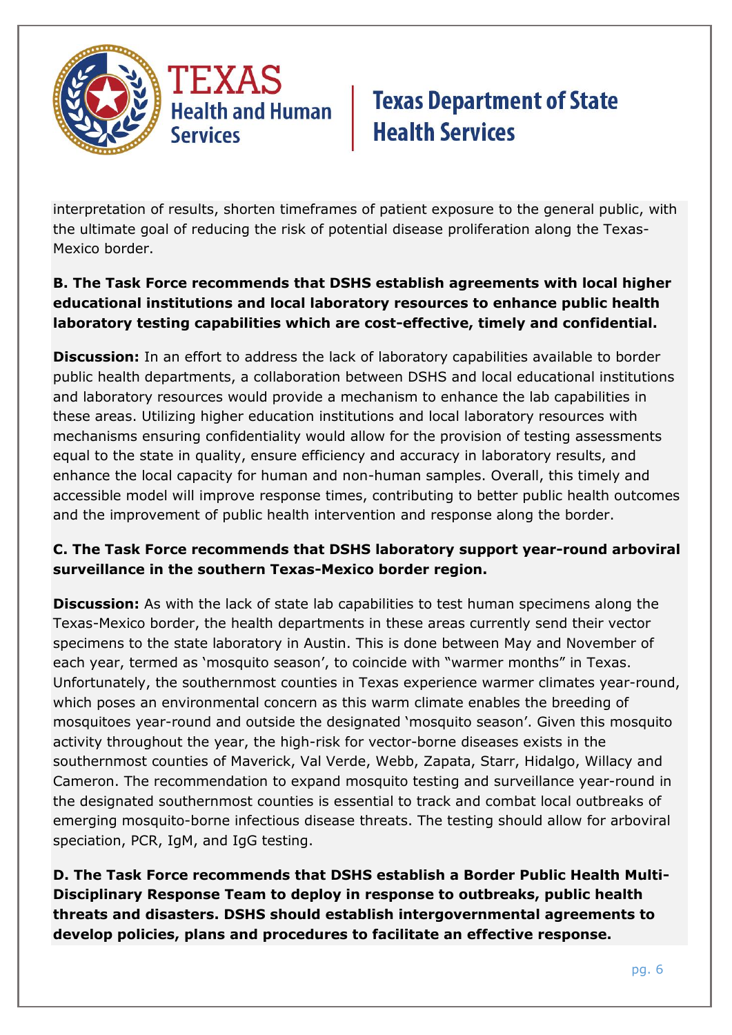

interpretation of results, shorten timeframes of patient exposure to the general public, with the ultimate goal of reducing the risk of potential disease proliferation along the Texas-Mexico border.

### **B. The Task Force recommends that DSHS establish agreements with local higher educational institutions and local laboratory resources to enhance public health laboratory testing capabilities which are cost-effective, timely and confidential.**

**Discussion:** In an effort to address the lack of laboratory capabilities available to border public health departments, a collaboration between DSHS and local educational institutions and laboratory resources would provide a mechanism to enhance the lab capabilities in these areas. Utilizing higher education institutions and local laboratory resources with mechanisms ensuring confidentiality would allow for the provision of testing assessments equal to the state in quality, ensure efficiency and accuracy in laboratory results, and enhance the local capacity for human and non-human samples. Overall, this timely and accessible model will improve response times, contributing to better public health outcomes and the improvement of public health intervention and response along the border.

### **C. The Task Force recommends that DSHS laboratory support year-round arboviral surveillance in the southern Texas-Mexico border region.**

**Discussion:** As with the lack of state lab capabilities to test human specimens along the Texas-Mexico border, the health departments in these areas currently send their vector specimens to the state laboratory in Austin. This is done between May and November of each year, termed as 'mosquito season', to coincide with "warmer months" in Texas. Unfortunately, the southernmost counties in Texas experience warmer climates year-round, which poses an environmental concern as this warm climate enables the breeding of mosquitoes year-round and outside the designated 'mosquito season'. Given this mosquito activity throughout the year, the high-risk for vector-borne diseases exists in the southernmost counties of Maverick, Val Verde, Webb, Zapata, Starr, Hidalgo, Willacy and Cameron. The recommendation to expand mosquito testing and surveillance year-round in the designated southernmost counties is essential to track and combat local outbreaks of emerging mosquito-borne infectious disease threats. The testing should allow for arboviral speciation, PCR, IgM, and IgG testing.

**D. The Task Force recommends that DSHS establish a Border Public Health Multi-Disciplinary Response Team to deploy in response to outbreaks, public health threats and disasters. DSHS should establish intergovernmental agreements to develop policies, plans and procedures to facilitate an effective response.**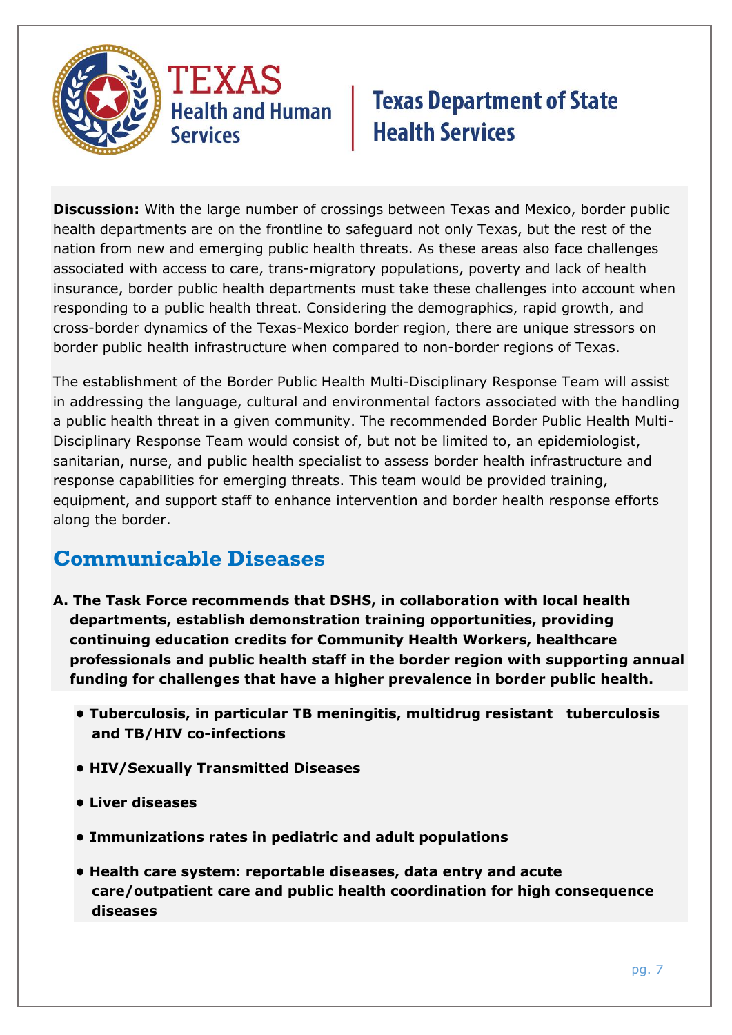

**Discussion:** With the large number of crossings between Texas and Mexico, border public health departments are on the frontline to safeguard not only Texas, but the rest of the nation from new and emerging public health threats. As these areas also face challenges associated with access to care, trans-migratory populations, poverty and lack of health insurance, border public health departments must take these challenges into account when responding to a public health threat. Considering the demographics, rapid growth, and cross-border dynamics of the Texas-Mexico border region, there are unique stressors on border public health infrastructure when compared to non-border regions of Texas.

The establishment of the Border Public Health Multi-Disciplinary Response Team will assist in addressing the language, cultural and environmental factors associated with the handling a public health threat in a given community. The recommended Border Public Health Multi-Disciplinary Response Team would consist of, but not be limited to, an epidemiologist, sanitarian, nurse, and public health specialist to assess border health infrastructure and response capabilities for emerging threats. This team would be provided training, equipment, and support staff to enhance intervention and border health response efforts along the border.

### **Communicable Diseases**

- **A. The Task Force recommends that DSHS, in collaboration with local health departments, establish demonstration training opportunities, providing continuing education credits for Community Health Workers, healthcare professionals and public health staff in the border region with supporting annual funding for challenges that have a higher prevalence in border public health.**
	- **Tuberculosis, in particular TB meningitis, multidrug resistant tuberculosis and TB/HIV co-infections**
	- **HIV/Sexually Transmitted Diseases**
	- **Liver diseases**
	- **Immunizations rates in pediatric and adult populations**
	- **Health care system: reportable diseases, data entry and acute care/outpatient care and public health coordination for high consequence diseases**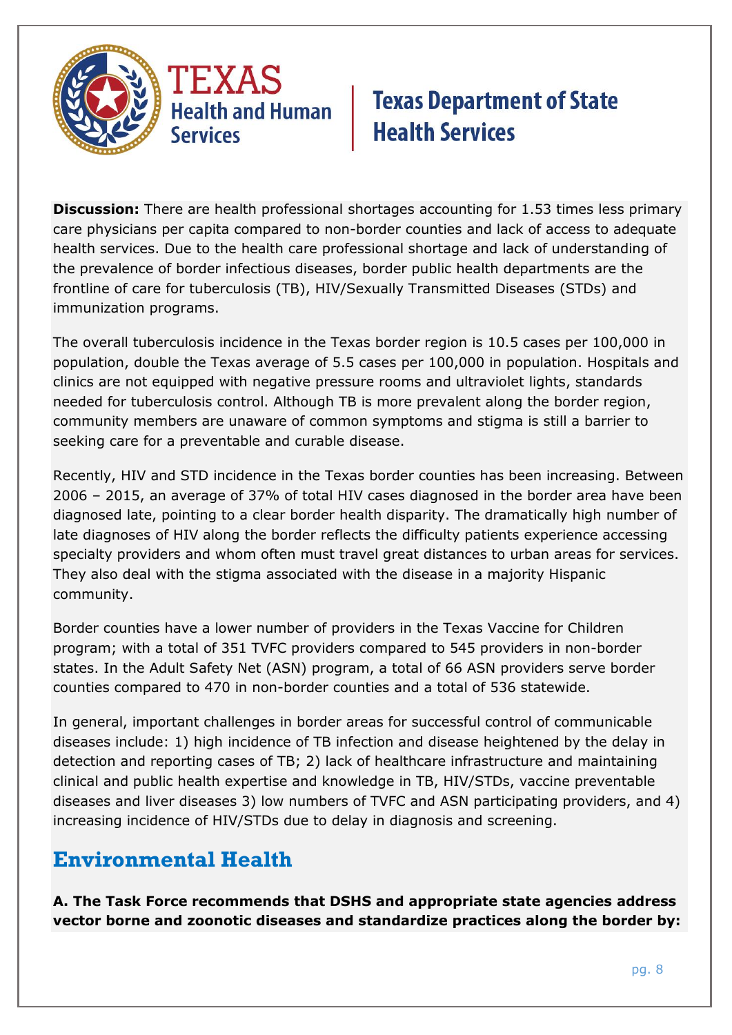

**Discussion:** There are health professional shortages accounting for 1.53 times less primary care physicians per capita compared to non-border counties and lack of access to adequate health services. Due to the health care professional shortage and lack of understanding of the prevalence of border infectious diseases, border public health departments are the frontline of care for tuberculosis (TB), HIV/Sexually Transmitted Diseases (STDs) and immunization programs.

The overall tuberculosis incidence in the Texas border region is 10.5 cases per 100,000 in population, double the Texas average of 5.5 cases per 100,000 in population. Hospitals and clinics are not equipped with negative pressure rooms and ultraviolet lights, standards needed for tuberculosis control. Although TB is more prevalent along the border region, community members are unaware of common symptoms and stigma is still a barrier to seeking care for a preventable and curable disease.

Recently, HIV and STD incidence in the Texas border counties has been increasing. Between 2006 – 2015, an average of 37% of total HIV cases diagnosed in the border area have been diagnosed late, pointing to a clear border health disparity. The dramatically high number of late diagnoses of HIV along the border reflects the difficulty patients experience accessing specialty providers and whom often must travel great distances to urban areas for services. They also deal with the stigma associated with the disease in a majority Hispanic community.

Border counties have a lower number of providers in the Texas Vaccine for Children program; with a total of 351 TVFC providers compared to 545 providers in non-border states. In the Adult Safety Net (ASN) program, a total of 66 ASN providers serve border counties compared to 470 in non-border counties and a total of 536 statewide.

In general, important challenges in border areas for successful control of communicable diseases include: 1) high incidence of TB infection and disease heightened by the delay in detection and reporting cases of TB; 2) lack of healthcare infrastructure and maintaining clinical and public health expertise and knowledge in TB, HIV/STDs, vaccine preventable diseases and liver diseases 3) low numbers of TVFC and ASN participating providers, and 4) increasing incidence of HIV/STDs due to delay in diagnosis and screening.

### **Environmental Health**

**A. The Task Force recommends that DSHS and appropriate state agencies address vector borne and zoonotic diseases and standardize practices along the border by:**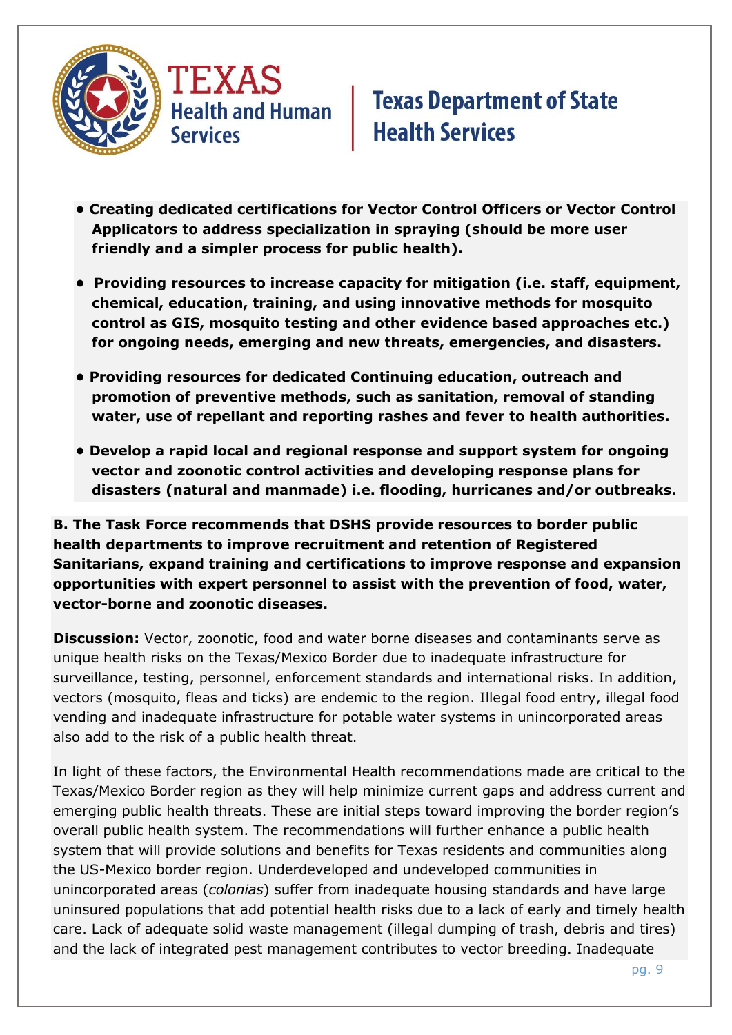



- **Creating dedicated certifications for Vector Control Officers or Vector Control Applicators to address specialization in spraying (should be more user friendly and a simpler process for public health).**
- **Providing resources to increase capacity for mitigation (i.e. staff, equipment, chemical, education, training, and using innovative methods for mosquito control as GIS, mosquito testing and other evidence based approaches etc.) for ongoing needs, emerging and new threats, emergencies, and disasters.**
- **Providing resources for dedicated Continuing education, outreach and promotion of preventive methods, such as sanitation, removal of standing water, use of repellant and reporting rashes and fever to health authorities.**
- **Develop a rapid local and regional response and support system for ongoing vector and zoonotic control activities and developing response plans for disasters (natural and manmade) i.e. flooding, hurricanes and/or outbreaks.**

**B. The Task Force recommends that DSHS provide resources to border public health departments to improve recruitment and retention of Registered Sanitarians, expand training and certifications to improve response and expansion opportunities with expert personnel to assist with the prevention of food, water, vector-borne and zoonotic diseases.**

**Discussion:** Vector, zoonotic, food and water borne diseases and contaminants serve as unique health risks on the Texas/Mexico Border due to inadequate infrastructure for surveillance, testing, personnel, enforcement standards and international risks. In addition, vectors (mosquito, fleas and ticks) are endemic to the region. Illegal food entry, illegal food vending and inadequate infrastructure for potable water systems in unincorporated areas also add to the risk of a public health threat.

In light of these factors, the Environmental Health recommendations made are critical to the Texas/Mexico Border region as they will help minimize current gaps and address current and emerging public health threats. These are initial steps toward improving the border region's overall public health system. The recommendations will further enhance a public health system that will provide solutions and benefits for Texas residents and communities along the US-Mexico border region. Underdeveloped and undeveloped communities in unincorporated areas (*colonias*) suffer from inadequate housing standards and have large uninsured populations that add potential health risks due to a lack of early and timely health care. Lack of adequate solid waste management (illegal dumping of trash, debris and tires) and the lack of integrated pest management contributes to vector breeding. Inadequate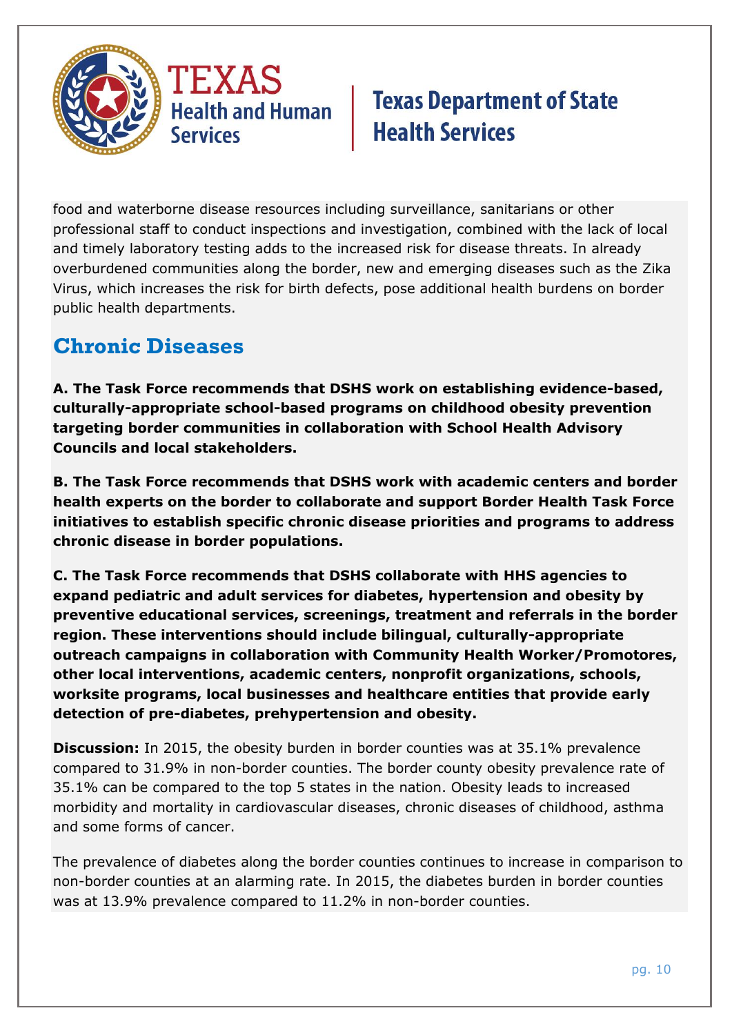

food and waterborne disease resources including surveillance, sanitarians or other professional staff to conduct inspections and investigation, combined with the lack of local and timely laboratory testing adds to the increased risk for disease threats. In already overburdened communities along the border, new and emerging diseases such as the Zika Virus, which increases the risk for birth defects, pose additional health burdens on border public health departments.

### **Chronic Diseases**

**A. The Task Force recommends that DSHS work on establishing evidence-based, culturally-appropriate school-based programs on childhood obesity prevention targeting border communities in collaboration with School Health Advisory Councils and local stakeholders.** 

**B. The Task Force recommends that DSHS work with academic centers and border health experts on the border to collaborate and support Border Health Task Force initiatives to establish specific chronic disease priorities and programs to address chronic disease in border populations.**

**C. The Task Force recommends that DSHS collaborate with HHS agencies to expand pediatric and adult services for diabetes, hypertension and obesity by preventive educational services, screenings, treatment and referrals in the border region. These interventions should include bilingual, culturally-appropriate outreach campaigns in collaboration with Community Health Worker/Promotores, other local interventions, academic centers, nonprofit organizations, schools, worksite programs, local businesses and healthcare entities that provide early detection of pre-diabetes, prehypertension and obesity.** 

**Discussion:** In 2015, the obesity burden in border counties was at 35.1% prevalence compared to 31.9% in non-border counties. The border county obesity prevalence rate of 35.1% can be compared to the top 5 states in the nation. Obesity leads to increased morbidity and mortality in cardiovascular diseases, chronic diseases of childhood, asthma and some forms of cancer.

The prevalence of diabetes along the border counties continues to increase in comparison to non-border counties at an alarming rate. In 2015, the diabetes burden in border counties was at 13.9% prevalence compared to 11.2% in non-border counties.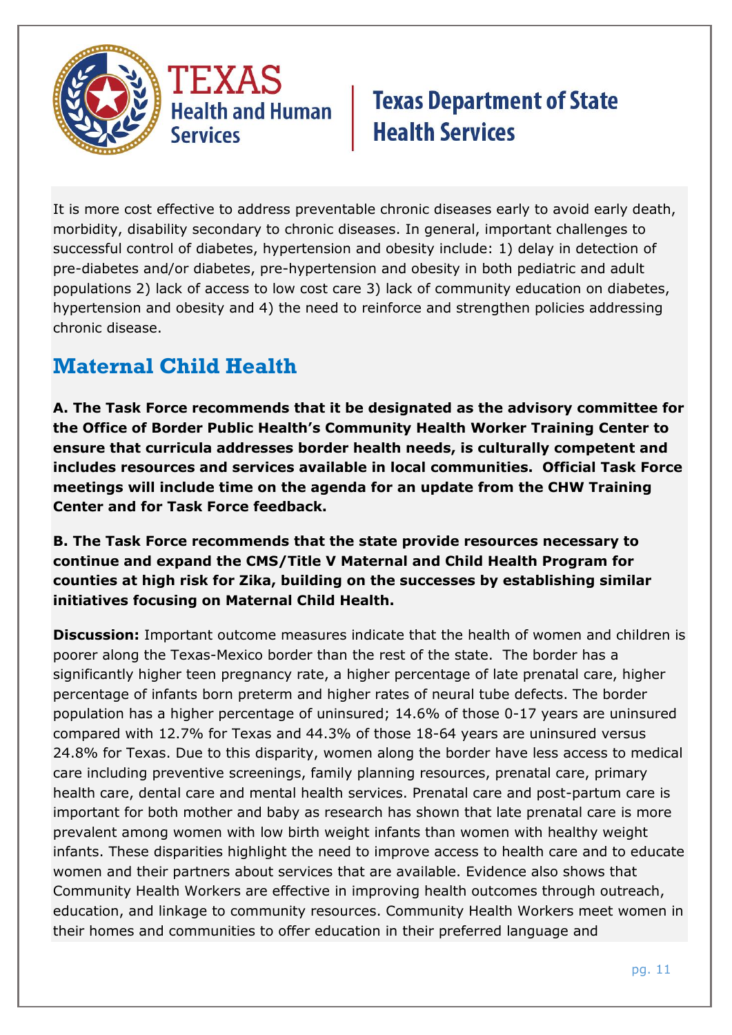

It is more cost effective to address preventable chronic diseases early to avoid early death, morbidity, disability secondary to chronic diseases. In general, important challenges to successful control of diabetes, hypertension and obesity include: 1) delay in detection of pre-diabetes and/or diabetes, pre-hypertension and obesity in both pediatric and adult populations 2) lack of access to low cost care 3) lack of community education on diabetes, hypertension and obesity and 4) the need to reinforce and strengthen policies addressing chronic disease.

## **Maternal Child Health**

**A. The Task Force recommends that it be designated as the advisory committee for the Office of Border Public Health's Community Health Worker Training Center to ensure that curricula addresses border health needs, is culturally competent and includes resources and services available in local communities. Official Task Force meetings will include time on the agenda for an update from the CHW Training Center and for Task Force feedback.**

**B. The Task Force recommends that the state provide resources necessary to continue and expand the CMS/Title V Maternal and Child Health Program for counties at high risk for Zika, building on the successes by establishing similar initiatives focusing on Maternal Child Health.**

**Discussion:** Important outcome measures indicate that the health of women and children is poorer along the Texas-Mexico border than the rest of the state. The border has a significantly higher teen pregnancy rate, a higher percentage of late prenatal care, higher percentage of infants born preterm and higher rates of neural tube defects. The border population has a higher percentage of uninsured; 14.6% of those 0-17 years are uninsured compared with 12.7% for Texas and 44.3% of those 18-64 years are uninsured versus 24.8% for Texas. Due to this disparity, women along the border have less access to medical care including preventive screenings, family planning resources, prenatal care, primary health care, dental care and mental health services. Prenatal care and post-partum care is important for both mother and baby as research has shown that late prenatal care is more prevalent among women with low birth weight infants than women with healthy weight infants. These disparities highlight the need to improve access to health care and to educate women and their partners about services that are available. Evidence also shows that Community Health Workers are effective in improving health outcomes through outreach, education, and linkage to community resources. Community Health Workers meet women in their homes and communities to offer education in their preferred language and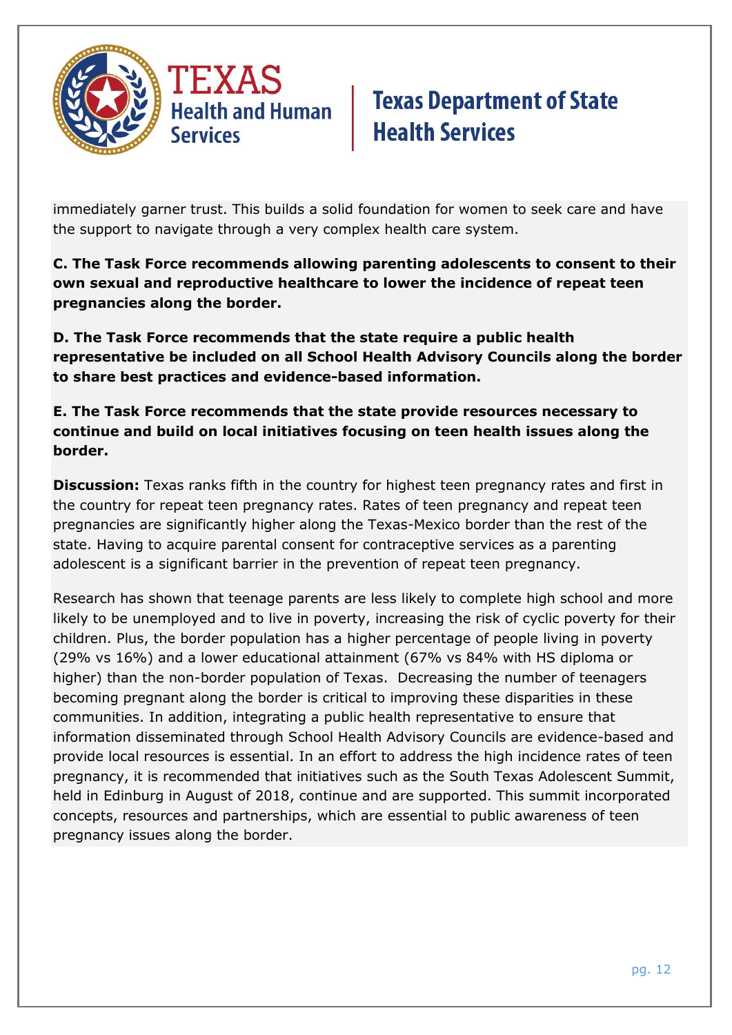

immediately garner trust. This builds a solid foundation for women to seek care and have the support to navigate through a very complex health care system.

**C. The Task Force recommends allowing parenting adolescents to consent to their own sexual and reproductive healthcare to lower the incidence of repeat teen pregnancies along the border.**

**D. The Task Force recommends that the state require a public health representative be included on all School Health Advisory Councils along the border to share best practices and evidence-based information.**

**E. The Task Force recommends that the state provide resources necessary to continue and build on local initiatives focusing on teen health issues along the border.**

**Discussion:** Texas ranks fifth in the country for highest teen pregnancy rates and first in the country for repeat teen pregnancy rates. Rates of teen pregnancy and repeat teen pregnancies are significantly higher along the Texas-Mexico border than the rest of the state. Having to acquire parental consent for contraceptive services as a parenting adolescent is a significant barrier in the prevention of repeat teen pregnancy.

Research has shown that teenage parents are less likely to complete high school and more likely to be unemployed and to live in poverty, increasing the risk of cyclic poverty for their children. Plus, the border population has a higher percentage of people living in poverty (29% vs 16%) and a lower educational attainment (67% vs 84% with HS diploma or higher) than the non-border population of Texas. Decreasing the number of teenagers becoming pregnant along the border is critical to improving these disparities in these communities. In addition, integrating a public health representative to ensure that information disseminated through School Health Advisory Councils are evidence-based and provide local resources is essential. In an effort to address the high incidence rates of teen pregnancy, it is recommended that initiatives such as the South Texas Adolescent Summit, held in Edinburg in August of 2018, continue and are supported. This summit incorporated concepts, resources and partnerships, which are essential to public awareness of teen pregnancy issues along the border.